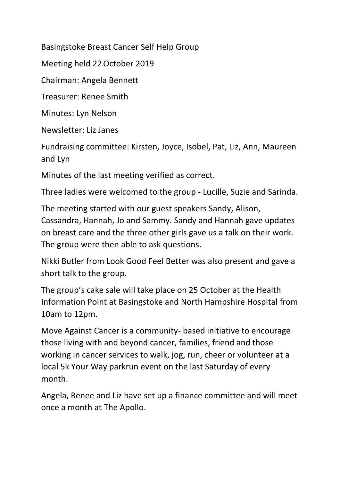Basingstoke Breast Cancer Self Help Group

Meeting held 22October 2019

Chairman: Angela Bennett

Treasurer: Renee Smith

Minutes: Lyn Nelson

Newsletter: Liz Janes

Fundraising committee: Kirsten, Joyce, Isobel, Pat, Liz, Ann, Maureen and Lyn

Minutes of the last meeting verified as correct.

Three ladies were welcomed to the group - Lucille, Suzie and Sarinda.

The meeting started with our guest speakers Sandy, Alison, Cassandra, Hannah, Jo and Sammy. Sandy and Hannah gave updates on breast care and the three other girls gave us a talk on their work. The group were then able to ask questions.

Nikki Butler from Look Good Feel Better was also present and gave a short talk to the group.

The group's cake sale will take place on 25 October at the Health Information Point at Basingstoke and North Hampshire Hospital from 10am to 12pm.

Move Against Cancer is a community- based initiative to encourage those living with and beyond cancer, families, friend and those working in cancer services to walk, jog, run, cheer or volunteer at a local 5k Your Way parkrun event on the last Saturday of every month.

Angela, Renee and Liz have set up a finance committee and will meet once a month at The Apollo.